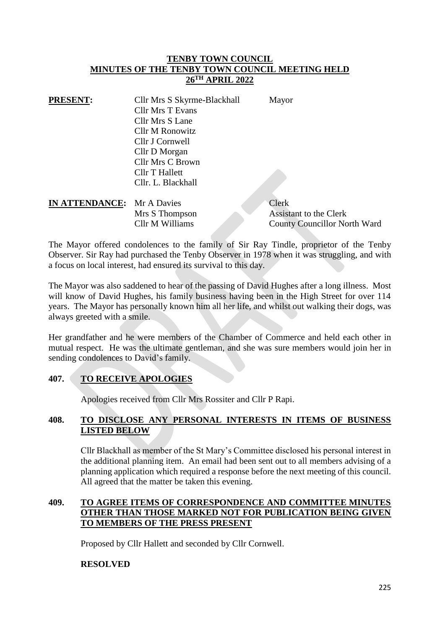### **TENBY TOWN COUNCIL MINUTES OF THE TENBY TOWN COUNCIL MEETING HELD 26TH APRIL 2022**

| <b>PRESENT:</b>                   | Cllr Mrs S Skyrme-Blackhall | Mayor                         |
|-----------------------------------|-----------------------------|-------------------------------|
|                                   | <b>Cllr Mrs T Evans</b>     |                               |
|                                   | Cllr Mrs S Lane             |                               |
|                                   | <b>Cllr M Ronowitz</b>      |                               |
|                                   | Cllr J Cornwell             |                               |
|                                   | Cllr D Morgan               |                               |
|                                   | Cllr Mrs C Brown            |                               |
|                                   | Cllr T Hallett              |                               |
|                                   | Cllr. L. Blackhall          |                               |
|                                   |                             |                               |
| <b>IN ATTENDANCE:</b> Mr A Davies |                             | Clerk                         |
|                                   | Mrs S Thompson              | <b>Assistant to the Clerk</b> |

The Mayor offered condolences to the family of Sir Ray Tindle, proprietor of the Tenby Observer. Sir Ray had purchased the Tenby Observer in 1978 when it was struggling, and with a focus on local interest, had ensured its survival to this day.

Cllr M Williams County Councillor North Ward

The Mayor was also saddened to hear of the passing of David Hughes after a long illness. Most will know of David Hughes, his family business having been in the High Street for over 114 years. The Mayor has personally known him all her life, and whilst out walking their dogs, was always greeted with a smile.

Her grandfather and he were members of the Chamber of Commerce and held each other in mutual respect. He was the ultimate gentleman, and she was sure members would join her in sending condolences to David's family.

# **407. TO RECEIVE APOLOGIES**

Apologies received from Cllr Mrs Rossiter and Cllr P Rapi.

# **408. TO DISCLOSE ANY PERSONAL INTERESTS IN ITEMS OF BUSINESS LISTED BELOW**

Cllr Blackhall as member of the St Mary's Committee disclosed his personal interest in the additional planning item. An email had been sent out to all members advising of a planning application which required a response before the next meeting of this council. All agreed that the matter be taken this evening.

# **409. TO AGREE ITEMS OF CORRESPONDENCE AND COMMITTEE MINUTES OTHER THAN THOSE MARKED NOT FOR PUBLICATION BEING GIVEN TO MEMBERS OF THE PRESS PRESENT**

Proposed by Cllr Hallett and seconded by Cllr Cornwell.

# **RESOLVED**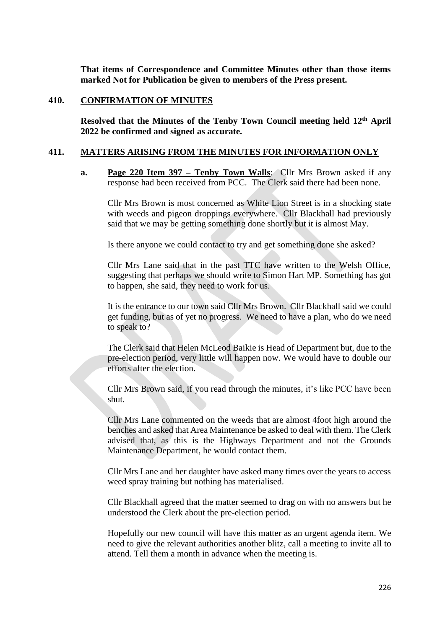**That items of Correspondence and Committee Minutes other than those items marked Not for Publication be given to members of the Press present.**

#### **410. CONFIRMATION OF MINUTES**

**Resolved that the Minutes of the Tenby Town Council meeting held 12th April 2022 be confirmed and signed as accurate.**

#### **411. MATTERS ARISING FROM THE MINUTES FOR INFORMATION ONLY**

**a. Page 220 Item 397 – Tenby Town Walls**: Cllr Mrs Brown asked if any response had been received from PCC. The Clerk said there had been none.

Cllr Mrs Brown is most concerned as White Lion Street is in a shocking state with weeds and pigeon droppings everywhere. Cllr Blackhall had previously said that we may be getting something done shortly but it is almost May.

Is there anyone we could contact to try and get something done she asked?

Cllr Mrs Lane said that in the past TTC have written to the Welsh Office, suggesting that perhaps we should write to Simon Hart MP. Something has got to happen, she said, they need to work for us.

It is the entrance to our town said Cllr Mrs Brown. Cllr Blackhall said we could get funding, but as of yet no progress. We need to have a plan, who do we need to speak to?

The Clerk said that Helen McLeod Baikie is Head of Department but, due to the pre-election period, very little will happen now. We would have to double our efforts after the election.

Cllr Mrs Brown said, if you read through the minutes, it's like PCC have been shut.

Cllr Mrs Lane commented on the weeds that are almost 4foot high around the benches and asked that Area Maintenance be asked to deal with them. The Clerk advised that, as this is the Highways Department and not the Grounds Maintenance Department, he would contact them.

Cllr Mrs Lane and her daughter have asked many times over the years to access weed spray training but nothing has materialised.

Cllr Blackhall agreed that the matter seemed to drag on with no answers but he understood the Clerk about the pre-election period.

Hopefully our new council will have this matter as an urgent agenda item. We need to give the relevant authorities another blitz, call a meeting to invite all to attend. Tell them a month in advance when the meeting is.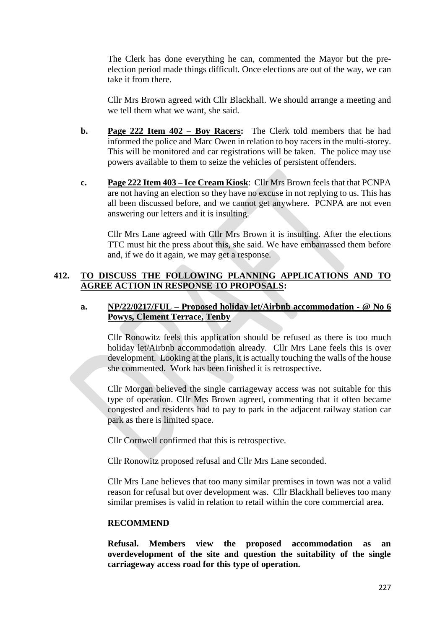The Clerk has done everything he can, commented the Mayor but the preelection period made things difficult. Once elections are out of the way, we can take it from there.

Cllr Mrs Brown agreed with Cllr Blackhall. We should arrange a meeting and we tell them what we want, she said.

- **b. Page 222 Item 402 – Boy Racers:** The Clerk told members that he had informed the police and Marc Owen in relation to boy racers in the multi-storey. This will be monitored and car registrations will be taken. The police may use powers available to them to seize the vehicles of persistent offenders.
- **c. Page 222 Item 403 – Ice Cream Kiosk**: Cllr Mrs Brown feels that that PCNPA are not having an election so they have no excuse in not replying to us. This has all been discussed before, and we cannot get anywhere. PCNPA are not even answering our letters and it is insulting.

Cllr Mrs Lane agreed with Cllr Mrs Brown it is insulting. After the elections TTC must hit the press about this, she said. We have embarrassed them before and, if we do it again, we may get a response.

## **412. TO DISCUSS THE FOLLOWING PLANNING APPLICATIONS AND TO AGREE ACTION IN RESPONSE TO PROPOSALS:**

### **a. NP/22/0217/FUL – Proposed holiday let/Airbnb accommodation - @ No 6 Powys, Clement Terrace, Tenby**

Cllr Ronowitz feels this application should be refused as there is too much holiday let/Airbnb accommodation already. Cllr Mrs Lane feels this is over development. Looking at the plans, it is actually touching the walls of the house she commented. Work has been finished it is retrospective.

Cllr Morgan believed the single carriageway access was not suitable for this type of operation. Cllr Mrs Brown agreed, commenting that it often became congested and residents had to pay to park in the adjacent railway station car park as there is limited space.

Cllr Cornwell confirmed that this is retrospective.

Cllr Ronowitz proposed refusal and Cllr Mrs Lane seconded.

Cllr Mrs Lane believes that too many similar premises in town was not a valid reason for refusal but over development was. Cllr Blackhall believes too many similar premises is valid in relation to retail within the core commercial area.

#### **RECOMMEND**

**Refusal. Members view the proposed accommodation as an overdevelopment of the site and question the suitability of the single carriageway access road for this type of operation.**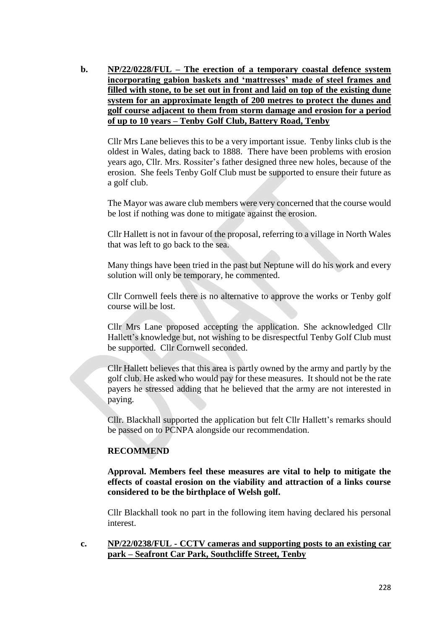**b. NP/22/0228/FUL – The erection of a temporary coastal defence system incorporating gabion baskets and 'mattresses' made of steel frames and filled with stone, to be set out in front and laid on top of the existing dune system for an approximate length of 200 metres to protect the dunes and golf course adjacent to them from storm damage and erosion for a period of up to 10 years – Tenby Golf Club, Battery Road, Tenby**

Cllr Mrs Lane believes this to be a very important issue. Tenby links club is the oldest in Wales, dating back to 1888. There have been problems with erosion years ago, Cllr. Mrs. Rossiter's father designed three new holes, because of the erosion. She feels Tenby Golf Club must be supported to ensure their future as a golf club.

The Mayor was aware club members were very concerned that the course would be lost if nothing was done to mitigate against the erosion.

Cllr Hallett is not in favour of the proposal, referring to a village in North Wales that was left to go back to the sea.

Many things have been tried in the past but Neptune will do his work and every solution will only be temporary, he commented.

Cllr Cornwell feels there is no alternative to approve the works or Tenby golf course will be lost.

Cllr Mrs Lane proposed accepting the application. She acknowledged Cllr Hallett's knowledge but, not wishing to be disrespectful Tenby Golf Club must be supported. Cllr Cornwell seconded.

Cllr Hallett believes that this area is partly owned by the army and partly by the golf club. He asked who would pay for these measures. It should not be the rate payers he stressed adding that he believed that the army are not interested in paying.

Cllr. Blackhall supported the application but felt Cllr Hallett's remarks should be passed on to PCNPA alongside our recommendation.

#### **RECOMMEND**

**Approval. Members feel these measures are vital to help to mitigate the effects of coastal erosion on the viability and attraction of a links course considered to be the birthplace of Welsh golf.**

Cllr Blackhall took no part in the following item having declared his personal interest.

### **c. NP/22/0238/FUL - CCTV cameras and supporting posts to an existing car park – Seafront Car Park, Southcliffe Street, Tenby**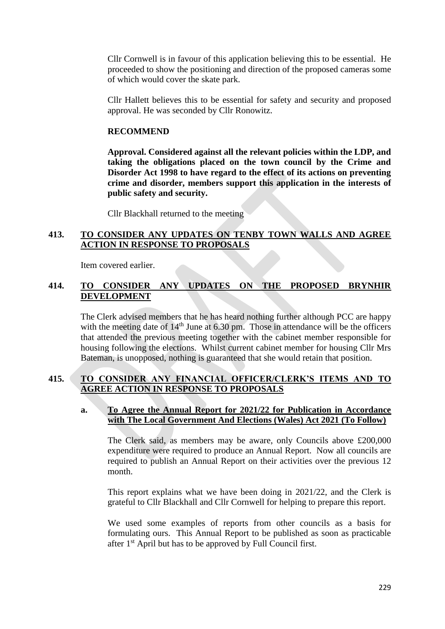Cllr Cornwell is in favour of this application believing this to be essential. He proceeded to show the positioning and direction of the proposed cameras some of which would cover the skate park.

Cllr Hallett believes this to be essential for safety and security and proposed approval. He was seconded by Cllr Ronowitz.

### **RECOMMEND**

**Approval. Considered against all the relevant policies within the LDP, and taking the obligations placed on the town council by the Crime and Disorder Act 1998 to have regard to the effect of its actions on preventing crime and disorder, members support this application in the interests of public safety and security.**

Cllr Blackhall returned to the meeting

## **413. TO CONSIDER ANY UPDATES ON TENBY TOWN WALLS AND AGREE ACTION IN RESPONSE TO PROPOSALS**

Item covered earlier.

## **414. TO CONSIDER ANY UPDATES ON THE PROPOSED BRYNHIR DEVELOPMENT**

The Clerk advised members that he has heard nothing further although PCC are happy with the meeting date of  $14<sup>th</sup>$  June at 6.30 pm. Those in attendance will be the officers that attended the previous meeting together with the cabinet member responsible for housing following the elections. Whilst current cabinet member for housing Cllr Mrs Bateman, is unopposed, nothing is guaranteed that she would retain that position.

## **415. TO CONSIDER ANY FINANCIAL OFFICER/CLERK'S ITEMS AND TO AGREE ACTION IN RESPONSE TO PROPOSALS**

### **a. To Agree the Annual Report for 2021/22 for Publication in Accordance with The Local Government And Elections (Wales) Act 2021 (To Follow)**

The Clerk said, as members may be aware, only Councils above £200,000 expenditure were required to produce an Annual Report. Now all councils are required to publish an Annual Report on their activities over the previous 12 month.

This report explains what we have been doing in 2021/22, and the Clerk is grateful to Cllr Blackhall and Cllr Cornwell for helping to prepare this report.

We used some examples of reports from other councils as a basis for formulating ours. This Annual Report to be published as soon as practicable after 1st April but has to be approved by Full Council first.